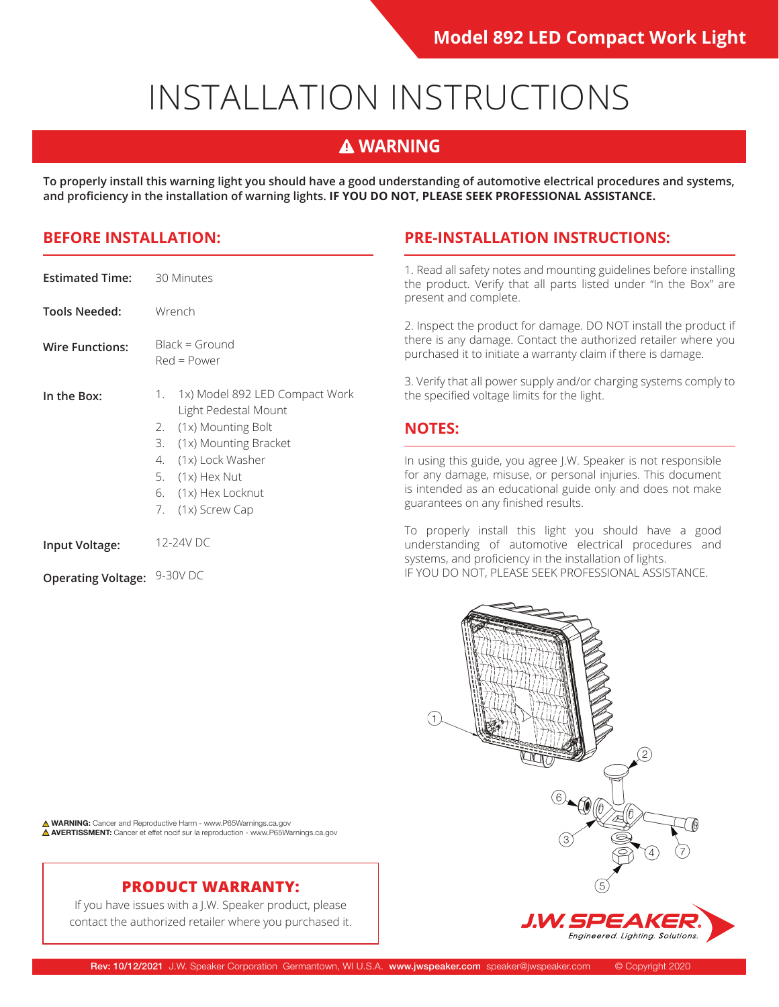# INSTALLATION INSTRUCTIONS

## **A WARNING**

**To properly install this warning light you should have a good understanding of automotive electrical procedures and systems, and proficiency in the installation of warning lights. IF YOU DO NOT, PLEASE SEEK PROFESSIONAL ASSISTANCE.**

| Estimated Time:        | 30 Minutes                                                                                                                                                                                                |
|------------------------|-----------------------------------------------------------------------------------------------------------------------------------------------------------------------------------------------------------|
| Tools Needed:          | Wrench                                                                                                                                                                                                    |
| <b>Wire Functions:</b> | $Black = Ground$<br>$Red = Power$                                                                                                                                                                         |
| In the Box:            | 1x) Model 892 LED Compact Work<br>1.<br>Light Pedestal Mount<br>2. (1x) Mounting Bolt<br>3. (1x) Mounting Bracket<br>4. (1x) Lock Washer<br>5. $(1x)$ Hex Nut<br>6. (1x) Hex Locknut<br>7. (1x) Screw Cap |
| Input Voltage:         | $12-24V$ DC                                                                                                                                                                                               |

**Operating Voltage:** 9-30V DC

**BEFORE INSTALLATION: PRE-INSTALLATION INSTRUCTIONS:**

1. Read all safety notes and mounting guidelines before installing the product. Verify that all parts listed under "In the Box" are present and complete.

2. Inspect the product for damage. DO NOT install the product if there is any damage. Contact the authorized retailer where you purchased it to initiate a warranty claim if there is damage.

3. Verify that all power supply and/or charging systems comply to the specified voltage limits for the light.

#### **NOTES:**

In using this guide, you agree J.W. Speaker is not responsible for any damage, misuse, or personal injuries. This document is intended as an educational guide only and does not make guarantees on any finished results.

To properly install this light you should have a good understanding of automotive electrical procedures and systems, and proficiency in the installation of lights. IF YOU DO NOT, PLEASE SEEK PROFESSIONAL ASSISTANCE.



**A WARNING:** Cancer and Reproductive Harm - www.P65Warnings.ca.gov **AVERTISSMENT:** Cancer et effet nocif sur la reproduction - www.P65Warnings.ca.gov

### **PRODUCT WARRANTY:**

If you have issues with a J.W. Speaker product, please contact the authorized retailer where you purchased it.